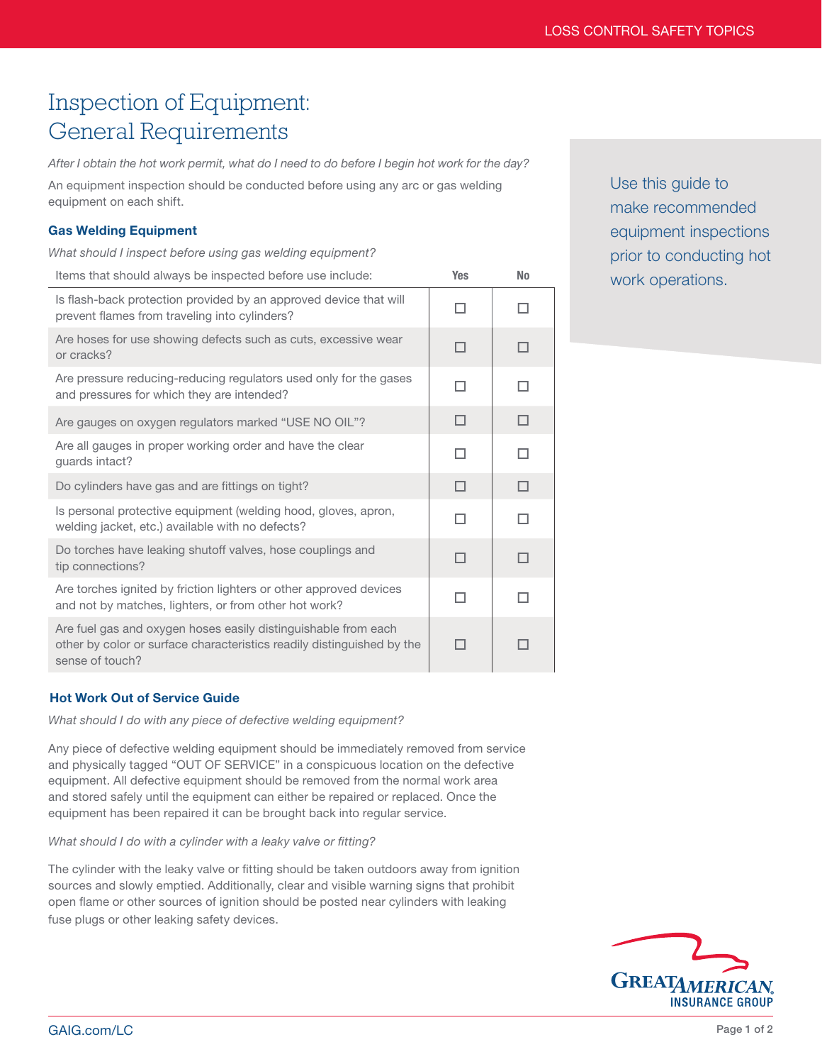# Inspection of Equipment: General Requirements

*After I obtain the hot work permit, what do I need to do before I begin hot work for the day?*

An equipment inspection should be conducted before using any arc or gas welding equipment on each shift.

## Gas Welding Equipment

*What should I inspect before using gas welding equipment?*

| Items that should always be inspected before use include:                                                                                                   | <b>Yes</b>   | <b>No</b> |
|-------------------------------------------------------------------------------------------------------------------------------------------------------------|--------------|-----------|
| Is flash-back protection provided by an approved device that will<br>prevent flames from traveling into cylinders?                                          | п            | п         |
| Are hoses for use showing defects such as cuts, excessive wear<br>or cracks?                                                                                | $\mathbf{1}$ | п         |
| Are pressure reducing-reducing regulators used only for the gases<br>and pressures for which they are intended?                                             | п            | п         |
| Are gauges on oxygen regulators marked "USE NO OIL"?                                                                                                        | п            | п         |
| Are all gauges in proper working order and have the clear<br>guards intact?                                                                                 | п            | п         |
| Do cylinders have gas and are fittings on tight?                                                                                                            | П            | П         |
| Is personal protective equipment (welding hood, gloves, apron,<br>welding jacket, etc.) available with no defects?                                          |              |           |
| Do torches have leaking shutoff valves, hose couplings and<br>tip connections?                                                                              | п            | п         |
| Are torches ignited by friction lighters or other approved devices<br>and not by matches, lighters, or from other hot work?                                 |              |           |
| Are fuel gas and oxygen hoses easily distinguishable from each<br>other by color or surface characteristics readily distinguished by the<br>sense of touch? |              |           |
|                                                                                                                                                             |              |           |

Use this guide to make recommended equipment inspections prior to conducting hot work operations.

# Hot Work Out of Service Guide

*What should I do with any piece of defective welding equipment?*

Any piece of defective welding equipment should be immediately removed from service and physically tagged "OUT OF SERVICE" in a conspicuous location on the defective equipment. All defective equipment should be removed from the normal work area and stored safely until the equipment can either be repaired or replaced. Once the equipment has been repaired it can be brought back into regular service.

#### *What should I do with a cylinder with a leaky valve or fitting?*

The cylinder with the leaky valve or fitting should be taken outdoors away from ignition sources and slowly emptied. Additionally, clear and visible warning signs that prohibit open flame or other sources of ignition should be posted near cylinders with leaking fuse plugs or other leaking safety devices.